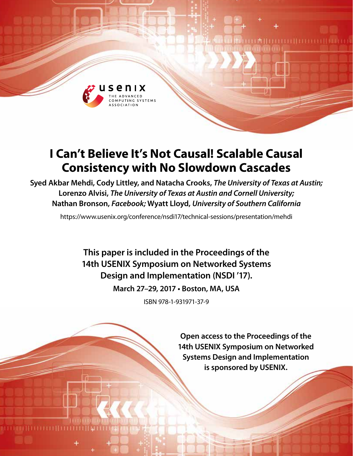

# **I Can't Believe It's Not Causal! Scalable Causal Consistency with No Slowdown Cascades**

**Syed Akbar Mehdi, Cody Littley, and Natacha Crooks,** *The University of Texas at Austin;* **Lorenzo Alvisi,** *The University of Texas at Austin and Cornell University;*  **Nathan Bronson,** *Facebook;* **Wyatt Lloyd,** *University of Southern California*

https://www.usenix.org/conference/nsdi17/technical-sessions/presentation/mehdi

**This paper is included in the Proceedings of the 14th USENIX Symposium on Networked Systems Design and Implementation (NSDI '17).**

**March 27–29, 2017 • Boston, MA, USA**

ISBN 978-1-931971-37-9

**Open access to the Proceedings of the 14th USENIX Symposium on Networked Systems Design and Implementation is sponsored by USENIX.**

**LA HELLO DE HELLO DE LEGOLI**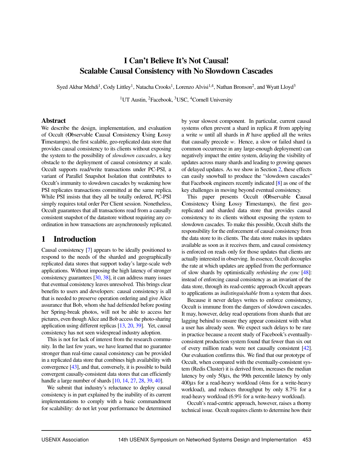# I Can't Believe It's Not Causal! Scalable Causal Consistency with No Slowdown Cascades

Syed Akbar Mehdi<sup>1</sup>, Cody Littley<sup>1</sup>, Natacha Crooks<sup>1</sup>, Lorenzo Alvisi<sup>1,4</sup>, Nathan Bronson<sup>2</sup>, and Wyatt Lloyd<sup>3</sup>

<sup>1</sup>UT Austin, <sup>2</sup>Facebook, <sup>3</sup>USC, <sup>4</sup>Cornell University

#### Abstract

We describe the design, implementation, and evaluation of Occult (Observable Causal Consistency Using Lossy Timestamps), the first scalable, geo-replicated data store that provides causal consistency to its clients without exposing the system to the possibility of *slowdown cascades*, a key obstacle to the deployment of causal consistency at scale. Occult supports read/write transactions under PC-PSI, a variant of Parallel Snapshot Isolation that contributes to Occult's immunity to slowdown cascades by weakening how PSI replicates transactions committed at the same replica. While PSI insists that they all be totally ordered, PC-PSI simply requires total order Per Client session. Nonetheless, Occult guarantees that all transactions read from a causally consistent snapshot of the datastore without requiring any coordination in how transactions are asynchronously replicated.

# 1 Introduction

Causal consistency [\[7\]](#page-13-0) appears to be ideally positioned to respond to the needs of the sharded and geographically replicated data stores that support today's large-scale web applications. Without imposing the high latency of stronger consistency guarantees [\[30,](#page-13-1) [38\]](#page-14-0), it can address many issues that eventual consistency leaves unresolved. This brings clear benefits to users and developers: causal consistency is all that is needed to preserve operation ordering and give Alice assurance that Bob, whom she had defriended before posting her Spring-break photos, will not be able to access her pictures, even though Alice and Bob access the photo-sharing application using different replicas [\[13,](#page-13-2) [20,](#page-13-3) [39\]](#page-14-1). Yet, causal consistency has not seen widespread industry adoption.

This is not for lack of interest from the research community. In the last few years, we have learned that no guarantee stronger than real-time causal consistency can be provided in a replicated data store that combines high availability with convergence [\[43\]](#page-14-2), and that, conversely, it is possible to build convergent causally-consistent data stores that can efficiently handle a large number of shards [\[10,](#page-13-4) [14,](#page-13-5) [27,](#page-13-6) [28,](#page-13-7) [39,](#page-14-1) [40\]](#page-14-3).

We submit that industry's reluctance to deploy causal consistency is in part explained by the inability of its current implementations to comply with a basic commandment for scalability: do not let your performance be determined by your slowest component. In particular, current causal systems often prevent a shard in replica *R* from applying a write *w* until all shards in *R* have applied all the writes that causally precede *w*. Hence, a slow or failed shard (a common occurrence in any large-enough deployment) can negatively impact the entire system, delaying the visibility of updates across many shards and leading to growing queues of delayed updates. As we show in Section [2,](#page-2-0) these effects can easily snowball to produce the "slowdown cascades" that Facebook engineers recently indicated [\[8\]](#page-13-8) as one of the key challenges in moving beyond eventual consistency.

This paper presents Occult (Observable Causal Consistency Using Lossy Timestamps), the first georeplicated and sharded data store that provides causal consistency to its clients without exposing the system to slowdown cascades. To make this possible, Occult shifts the responsibility for the enforcement of causal consistency from the data store to its clients. The data store makes its updates available as soon as it receives them, and causal consistency is enforced on reads only for those updates that clients are actually interested in observing. In essence, Occult decouples the rate at which updates are applied from the performance of slow shards by optimistically *rethinking the sync* [\[48\]](#page-14-4): instead of enforcing causal consistency as an invariant of the data store, through its read-centric approach Occult appears to applications as *indistinguishable* from a system that does.

Because it never delays writes to enforce consistency, Occult is immune from the dangers of slowdown cascades. It may, however, delay read operations from shards that are lagging behind to ensure they appear consistent with what a user has already seen. We expect such delays to be rare in practice because a recent study of Facebook's eventuallyconsistent production system found that fewer than six out of every million reads were not causally consistent [\[42\]](#page-14-5). Our evaluation confirms this. We find that our prototype of Occult, when compared with the eventually-consistent system (Redis Cluster) it is derived from, increases the median latency by only  $50\mu s$ , the 99th percentile latency by only 400µs for a read-heavy workload (4ms for a write-heavy workload), and reduces throughput by only 8.7% for a read-heavy workload (6.9% for a write-heavy workload).

Occult's read-centric approach, however, raises a thorny technical issue. Occult requires clients to determine how their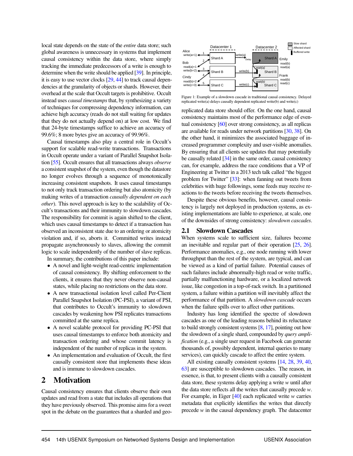local state depends on the state of the *entire* data store; such global awareness is unnecessary in systems that implement causal consistency within the data store, where simply tracking the immediate predecessors of a write is enough to determine when the write should be applied [\[39\]](#page-14-1). In principle, it is easy to use vector clocks [\[29,](#page-13-9) [44\]](#page-14-6) to track causal dependencies at the granularity of objects or shards. However, their overhead at the scale that Occult targets is prohibitive. Occult instead uses *causal timestamps* that, by synthesizing a variety of techniques for compressing dependency information, can achieve high accuracy (reads do not stall waiting for updates that they do not actually depend on) at low cost. We find that 24-byte timestamps suffice to achieve an accuracy of 99.6%; 8 more bytes give an accuracy of 99.96%.

Causal timestamps also play a central role in Occult's support for scalable read-write transactions. Transactions in Occult operate under a variant of Parallel Snapshot Isolation [\[55\]](#page-14-7). Occult ensures that all transactions always *observe* a consistent snapshot of the system, even though the datastore no longer evolves through a sequence of monotonically increasing consistent snapshots. It uses causal timestamps to not only track transaction ordering but also atomicity (by making writes of a transaction *causally dependent on each other*). This novel approach is key to the scalability of Occult's transactions and their immunity to slowdown cascades. The responsibility for commit is again shifted to the client, which uses causal timestamps to detect if a transaction has observed an inconsistent state due to an ordering or atomicity violation and, if so, aborts it. Committed writes instead propagate asynchronously to slaves, allowing the commit logic to scale independently of the number of slave replicas.

In summary, the contributions of this paper include:

- A novel and light-weight read-centric implementation of causal consistency. By shifting enforcement to the clients, it ensures that they never observe non-causal states, while placing no restrictions on the data store.
- A new transactional isolation level called Per-Client Parallel Snapshot Isolation (PC-PSI), a variant of PSI, that contributes to Occult's immunity to slowdown cascades by weakening how PSI replicates transactions committed at the same replica.
- A novel scalable protocol for providing PC-PSI that uses causal timestamps to enforce both atomicity and transaction ordering and whose commit latency is independent of the number of replicas in the system.
- An implementation and evaluation of Occult, the first causally consistent store that implements these ideas and is immune to slowdown cascades.

# <span id="page-2-0"></span>2 Motivation

Causal consistency ensures that clients observe their own updates and read from a state that includes all operations that they have previously observed. This promise aims for a sweet spot in the debate on the guarantees that a sharded and geo-

<span id="page-2-1"></span>

Figure 1: Example of a slowdown cascade in traditional causal consistency. Delayed replicated write(a) delays causally dependent replicated write(b) and write(c)

replicated data store should offer. On the one hand, causal consistency maintains most of the performance edge of eventual consistency [\[60\]](#page-14-8) over strong consistency, as all replicas are available for reads under network partitions [\[30,](#page-13-1) [38\]](#page-14-0). On the other hand, it minimizes the associated baggage of increased programmer complexity and user-visible anomalies. By ensuring that all clients see updates that may potentially be causally related [\[34\]](#page-13-10) in the same order, causal consistency can, for example, address the race conditions that a VP of Engineering at Twitter in a 2013 tech talk called "the biggest problem for Twitter" [\[33\]](#page-13-11): when fanning out tweets from celebrities with huge followings, some feeds may receive reactions to the tweets before receiving the tweets themselves.

Despite these obvious benefits, however, causal consistency is largely not deployed in production systems, as existing implementations are liable to experience, at scale, one of the downsides of strong consistency: *slowdown cascades*.

#### 2.1 Slowdown Cascades

When systems scale to sufficient size, failures become an inevitable and regular part of their operation [\[25,](#page-13-12) [26\]](#page-13-13). Performance anomalies, e.g., one node running with lower throughput than the rest of the system, are typical, and can be viewed as a kind of partial failure. Potential causes of such failures include abnormally-high read or write traffic, partially malfunctioning hardware, or a localized network issue, like congestion in a top-of-rack switch. In a partitioned system, a failure within a partition will inevitably affect the performance of that partition. A *slowdown cascade* occurs when the failure spills over to affect other partitions.

Industry has long identified the spectre of slowdown cascades as one of the leading reasons behind its reluctance to build strongly consistent systems [\[8,](#page-13-8) [17\]](#page-13-14), pointing out how the slowdown of a single shard, compounded by *query amplification* (e.g., a single user request in Facebook can generate thousands of, possibly dependent, internal queries to many services), can quickly cascade to affect the entire system.

All existing causally consistent systems [\[14,](#page-13-5) [28,](#page-13-7) [39,](#page-14-1) [40,](#page-14-3) [63\]](#page-14-9) are susceptible to slowdown cascades. The reason, in essence, is that, to present clients with a causally consistent data store, these systems delay applying a write *w* until after the data store reflects all the writes that causally precede *w*. For example, in Eiger [\[40\]](#page-14-3) each replicated write *w* carries metadata that explicitly identifies the writes that directly precede *w* in the causal dependency graph. The datacenter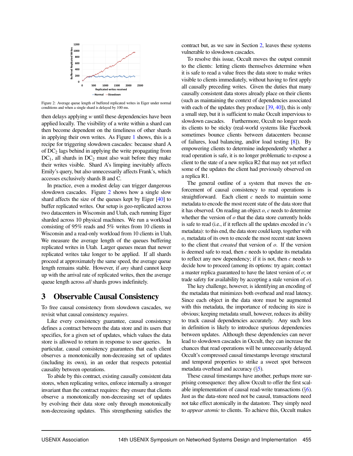<span id="page-3-0"></span>

Figure 2: Average queue length of buffered replicated writes in Eiger under normal conditions and when a single shard is delayed by 100 ms.

then delays applying *w* until these dependencies have been applied locally. The visibility of a write within a shard can then become dependent on the timeliness of other shards in applying their own writes. As Figure [1](#page-2-1) shows, this is a recipe for triggering slowdown cascades: because shard A of  $DC<sub>2</sub>$  lags behind in applying the write propagating from  $DC<sub>1</sub>$ , all shards in  $DC<sub>2</sub>$  must also wait before they make their writes visible. Shard A's limping inevitably affects Emily's query, but also unnecessarily affects Frank's, which accesses exclusively shards B and C.

In practice, even a modest delay can trigger dangerous slowdown cascades. Figure [2](#page-3-0) shows how a single slow shard affects the size of the queues kept by Eiger [\[40\]](#page-14-3) to buffer replicated writes. Our setup is geo-replicated across two datacenters in Wisconsin and Utah, each running Eiger sharded across 10 physical machines. We run a workload consisting of 95% reads and 5% writes from 10 clients in Wisconsin and a read-only workload from 10 clients in Utah. We measure the average length of the queues buffering replicated writes in Utah. Larger queues mean that newer replicated writes take longer to be applied. If all shards proceed at approximately the same speed, the average queue length remains stable. However, if *any* shard cannot keep up with the arrival rate of replicated writes, then the average queue length across *all* shards grows indefinitely.

## <span id="page-3-1"></span>3 Observable Causal Consistency

To free causal consistency from slowdown cascades, we revisit what causal consistency *requires*.

Like every consistency guarantee, causal consistency defines a contract between the data store and its users that specifies, for a given set of updates, which values the data store is allowed to return in response to user queries. In particular, causal consistency guarantees that each client observes a monotonically non-decreasing set of updates (including its own), in an order that respects potential causality between operations.

To abide by this contract, existing causally consistent data stores, when replicating writes, enforce internally a stronger invariant than the contract requires: they ensure that clients observe a monotonically non-decreasing set of updates by evolving their data store only through monotonically non-decreasing updates. This strengthening satisfies the contract but, as we saw in Section [2,](#page-2-0) leaves these systems vulnerable to slowdown cascades.

To resolve this issue, Occult moves the output commit to the clients: letting clients themselves determine when it is safe to read a value frees the data store to make writes visible to clients immediately, without having to first apply all causally preceding writes. Given the duties that many causally consistent data stores already place on their clients (such as maintaining the context of dependencies associated with each of the updates they produce  $[39, 40]$  $[39, 40]$  $[39, 40]$ ), this is only a small step, but it is sufficient to make Occult impervious to slowdown cascades. Furthermore, Occult no longer needs its clients to be sticky (real-world systems like Facebook sometimes bounce clients between datacenters because of failures, load balancing, and/or load testing [\[8\]](#page-13-8)). By empowering clients to determine independently whether a read operation is safe, it is no longer problematic to expose a client to the state of a new replica R2 that may not yet reflect some of the updates the client had previously observed on a replica R1.

The general outline of a system that moves the enforcement of causal consistency to read operations is straightforward. Each client *c* needs to maintain some metadata to encode the most recent state of the data store that it has observed. On reading an object *o*, *c* needs to determine whether the version of *o* that the data store currently holds is safe to read (i.e., if it reflects all the updates encoded in *c*'s metadata): to this end, the data store could keep, together with *o*, metadata of its own to encode the most recent state known to the client that *created* that version of *o*. If the version is deemed safe to read, then *c* needs to update its metadata to reflect any new dependency; if it is not, then *c* needs to decide how to proceed (among its options: try again; contact a master replica guaranteed to have the latest version of *o*; or trade safety for availability by accepting a stale version of *o*).

The key challenge, however, is identifying an encoding of the metadata that minimizes both overhead and read latency. Since each object in the data store must be augmented with this metadata, the importance of reducing its size is obvious; keeping metadata small, however, reduces its ability to track causal dependencies accurately. Any such loss in definition is likely to introduce spurious dependencies between updates. Although these dependencies can never lead to slowdown cascades in Occult, they can increase the chances that read operations will be unnecessarily delayed. Occult's compressed causal timestamps leverage structural and temporal properties to strike a sweet spot between metadata overhead and accuracy (§[5\)](#page-5-0).

These causal timestamps have another, perhaps more surprising consequence: they allow Occult to offer the first scalable implementation of causal read-write transactions  $(\S6)$  $(\S6)$ . Just as the data-store need not be causal, transactions need not take effect atomically in the datastore. They simply need to *appear atomic* to clients. To achieve this, Occult makes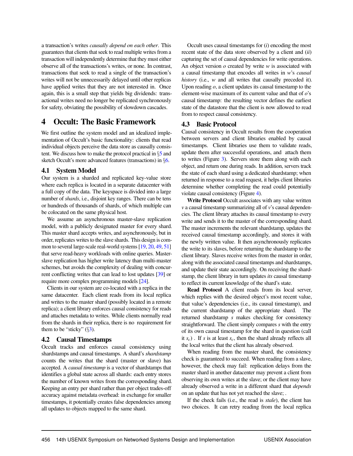a transaction's writes *causally depend on each other*. This guarantees that clients that seek to read multiple writes from a transaction will independently determine that they must either observe all of the transactions's writes, or none. In contrast, transactions that seek to read a single of the transaction's writes will not be unnecessarily delayed until other replicas have applied writes that they are not interested in. Once again, this is a small step that yields big dividends: transactional writes need no longer be replicated synchronously for safety, obviating the possibility of slowdown cascades.

## 4 Occult: The Basic Framework

We first outline the system model and an idealized implementation of Occult's basic functionality: clients that read individual objects perceive the data store as causally consistent. We discuss how to make the protocol practical in §[5](#page-5-0) and sketch Occult's more advanced features (transactions) in §[6.](#page-6-0)

#### 4.1 System Model

Our system is a sharded and replicated key-value store where each replica is located in a separate datacenter with a full copy of the data. The keyspace is divided into a large number of *shards*, i.e., disjoint key ranges. There can be tens or hundreds of thousands of shards, of which multiple can be colocated on the same physical host.

We assume an asynchronous master-slave replication model, with a publicly designated master for every shard. This master shard accepts writes, and asynchronously, but in order, replicates writes to the slave shards. This design is common to several large-scale real-world systems [\[19,](#page-13-15) [20,](#page-13-3) [49,](#page-14-10) [51\]](#page-14-11) that serve read-heavy workloads with online queries. Masterslave replication has higher write latency than multi-master schemes, but avoids the complexity of dealing with concurrent conflicting writes that can lead to lost updates [\[39\]](#page-14-1) or require more complex programming models [\[24\]](#page-13-16).

Clients in our system are co-located with a replica in the same datacenter. Each client reads from its local replica and writes to the master shard (possibly located in a remote replica); a client library enforces causal consistency for reads and attaches metadata to writes. While clients normally read from the shards in their replica, there is no requirement for them to be "sticky"  $(\S3)$  $(\S3)$ .

#### 4.2 Causal Timestamps

Occult tracks and enforces causal consistency using shardstamps and causal timestamps. A shard's *shardstamp* counts the writes that the shard (master or slave) has accepted. A *causal timestamp* is a vector of shardstamps that identifies a global state across all shards: each entry stores the number of known writes from the corresponding shard. Keeping an entry per shard rather than per object trades-off accuracy against metadata overhead: in exchange for smaller timestamps, it potentially creates false dependencies among all updates to objects mapped to the same shard.

Occult uses causal timestamps for (*i*) encoding the most recent state of the data store observed by a client and (*ii*) capturing the set of causal dependencies for write operations. An object version *o* created by write *w* is associated with a causal timestamp that encodes all writes in *w*'s *causal history* (i.e., *w* and all writes that causally preceded it). Upon reading *o*, a client updates its causal timestamp to the element-wise maximum of its current value and that of *o*'s causal timestamp: the resulting vector defines the earliest state of the datastore that the client is now allowed to read from to respect causal consistency.

#### <span id="page-4-0"></span>4.3 Basic Protocol

Causal consistency in Occult results from the cooperation between servers and client libraries enabled by causal timestamps. Client libraries use them to validate reads, update them after successful operations, and attach them to writes (Figure [3\)](#page-5-1). Servers store them along with each object, and return one during reads. In addition, servers track the state of each shard using a dedicated shardstamp; when returned in response to a read request, it helps client libraries determine whether completing the read could potentially violate causal consistency (Figure [4\)](#page-5-1).

Write Protocol Occult associates with any value written *v* a causal timestamp summarizing all of *v*'s causal dependencies. The client library attaches its causal timestamp to every write and sends it to the master of the corresponding shard. The master increments the relevant shardstamp, updates the received causal timestamp accordingly, and stores it with the newly written value. It then asynchronously replicates the write to its slaves, before returning the shardstamp to the client library. Slaves receive writes from the master in order, along with the associated causal timestamps and shardstamps, and update their state accordingly. On receiving the shardstamp, the client library in turn updates *its* causal timestamp to reflect its current knowledge of the shard's state.

Read Protocol A client reads from its local server, which replies with the desired object's most recent value, that value's dependencies (i.e., its causal timestamp), and the current shardstamp of the appropriate shard. The returned shardstamp *s* makes checking for consistency straightforward. The client simply compares *s* with the entry of its own causal timestamp for the shard in question (call it  $s_c$ ). If *s* is at least  $s_c$ , then the shard already reflects all the local writes that the client has already observed.

When reading from the master shard, the consistency check is guaranteed to succeed. When reading from a slave, however, the check may fail: replication delays from the master shard in another datacenter may prevent a client from observing its own writes at the slave; or the client may have already observed a write in a different shard that *depends* on an update that has not yet reached the slave; .

If the check fails (i.e., the read is *stale*), the client has two choices. It can retry reading from the local replica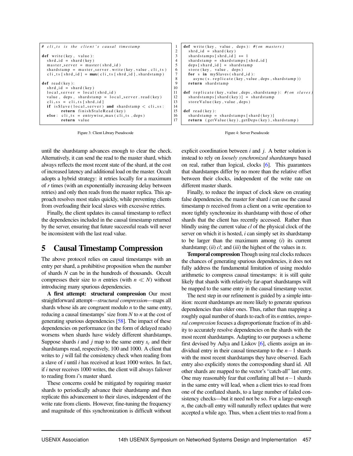<span id="page-5-1"></span>

| # cli_ts is the client's causal timestamp                                                                                                                                                                    |
|--------------------------------------------------------------------------------------------------------------------------------------------------------------------------------------------------------------|
| def write (key, value):<br>$shrd_id = shard(key)$<br>$master\_server = master(shrd_id)$<br>shardstamp = master_server.write(key, value, cli_ts)<br>cli_ts [shrd_id] = $max(cli_{1}ts$ [shrd_id], shardstamp) |
| $def$ read $(key)$ :<br>$shrd_id = shard(key)$<br>$local-server = local(shrd_id)$                                                                                                                            |
| value, deps, shardstamp = $local-server.read(key)$<br>cli_ss = cli_ts [shrd_id]                                                                                                                              |
| if is Slave (local_server) and shardstamp $\lt$ cli_ss:<br>return finishStaleRead (key)<br>else: $cli_ts = entrywise_max (cli_ts, deps)$                                                                     |
| return value                                                                                                                                                                                                 |

Figure 3: Client Library Pseudocode

until the shardstamp advances enough to clear the check. Alternatively, it can send the read to the master shard, which always reflects the most recent state of the shard, at the cost of increased latency and additional load on the master. Occult adopts a hybrid strategy: it retries locally for a maximum of *r* times (with an exponentially increasing delay between retries) and only then reads from the master replica. This approach resolves most stales quickly, while preventing clients from overloading their local slaves with excessive retries.

Finally, the client updates its causal timestamp to reflect the dependencies included in the causal timestamp returned by the server, ensuring that future successful reads will never be inconsistent with the last read value.

# <span id="page-5-0"></span>5 Causal Timestamp Compression

The above protocol relies on causal timestamps with an entry per shard, a prohibitive proposition when the number of shards *N* can be in the hundreds of thousands. Occult compresses their size to *n* entries (with  $n \ll N$ ) without introducing many spurious dependencies.

A first attempt: structural compression Our most straightforward attempt—*structural compression*—maps all shards whose ids are congruent modulo *n* to the same entry, reducing a causal timestamps' size from *N* to *n* at the cost of generating spurious dependencies [\[58\]](#page-14-12). The impact of these dependencies on performance (in the form of delayed reads) worsens when shards have widely different shardstamps. Suppose shards *i* and *j* map to the same entry  $s_c$  and their shardstamps read, respectively, 100 and 1000. A client that writes to *j* will fail the consistency check when reading from a slave of *i* until *i* has received at least 1000 writes. In fact, if *i* never receives 1000 writes, the client will always failover to reading from *i*'s master shard.

These concerns could be mitigated by requiring master shards to periodically advance their shardstamp and then replicate this advancement to their slaves, independent of the write rate from clients. However, fine-tuning the frequency and magnitude of this synchronization is difficult without



Figure 4: Server Pseudocode

explicit coordination between *i* and *j*. A better solution is instead to rely on *loosely synchronized shardstamps* based on real, rather than logical, clocks [\[6\]](#page-13-17). This guarantees that shardstamps differ by no more than the relative offset between their clocks, independent of the write rate on different master shards.

Finally, to reduce the impact of clock skew on creating false dependencies, the master for shard *i* can use the causal timestamp *ts* received from a client on a write operation to more tightly synchronize its shardstamp with those of other shards that the client has recently accessed. Rather than blindly using the current value *cl* of the physical clock of the server on which it is hosted, *i* can simply set its shardstamp to be larger than the maximum among (*i*) its current shardstamp; (*ii*) *cl*; and (*iii*) the highest of the values in *ts*.

Temporal compression Though using real clocks reduces the chances of generating spurious dependencies, it does not fully address the fundamental limitation of using modulo arithmetic to compress causal timestamps: it is still quite likely that shards with relatively far-apart shardstamps will be mapped to the same entry in the causal timestamp vector.

The next step in our refinement is guided by a simple intuition: recent shardstamps are more likely to generate spurious dependencies than older ones. Thus, rather than mapping a roughly equal number of shards to each of its *n* entries, *temporal compression* focuses a disproportionate fraction of its ability to accurately resolve dependencies on the shards with the most recent shardstamps. Adapting to our purposes a scheme first devised by Adya and Liskov [\[6\]](#page-13-17), clients assign an individual entry in their causal timestamp to the *n*−1 shards with the most recent shardstamps they have observed. Each entry also explicitly stores the corresponding shard id. All other shards are mapped to the vector's "catch-all" last entry. One may reasonably fear that conflating all but *n*−1 shards in the same entry will lead, when a client tries to read from one of the conflated shards, to a large number of failed consistency checks—but it need not be so. For a large-enough *n*, the catch-all entry will naturally reflect updates that were accepted a while ago. Thus, when a client tries to read from a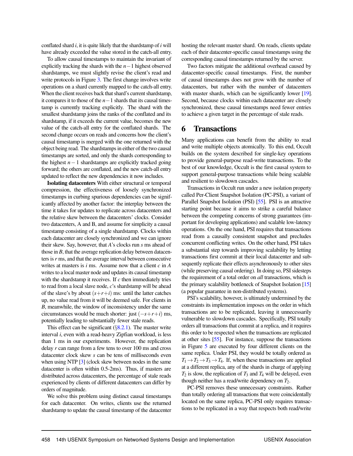conflated shard *i*, it is quite likely that the shardstamp of *i* will have already exceeded the value stored in the catch-all entry.

To allow causal timestamps to maintain the invariant of explicitly tracking the shards with the *n*−1 highest observed shardstamps, we must slightly revise the client's read and write protocols in Figure [3.](#page-5-1) The first change involves write operations on a shard currently mapped to the catch-all entry. When the client receives back that shard's current shardstamp, it compares it to those of the *n*−1 shards that its causal timestamp is currently tracking explicitly. The shard with the smallest shardstamp joins the ranks of the conflated and its shardstamp, if it exceeds the current value, becomes the new value of the catch-all entry for the conflated shards. The second change occurs on reads and concerns how the client's causal timestamp is merged with the one returned with the object being read. The shardstamps in either of the two causal timestamps are sorted, and only the shards corresponding to the highest *n*−1 shardstamps are explicitly tracked going forward; the others are conflated, and the new catch-all entry updated to reflect the new dependencies it now includes.

Isolating datacenters With either structural or temporal compression, the effectiveness of loosely synchronized timestamps in curbing spurious dependencies can be significantly affected by another factor: the interplay between the time it takes for updates to replicate across datacenters and the relative skew between the datacenters' clocks. Consider two datacenters, A and B, and assume for simplicity a causal timestamp consisting of a single shardstamp. Clocks within each datacenter are closely synchronized and we can ignore their skew. Say, however, that *A*'s clocks run *s* ms ahead of those in *B*, that the average replication delay between datacenters is*r* ms, and that the average interval between consecutive writes at masters is *i* ms. Assume now that a client *c* in *A* writes to a local master node and updates its causal timestamp with the shardstamp it receives. If *c* then immediately tries to read from a local slave node, *c*'s shardstamp will be ahead of the slave's by about  $(s+r+i)$  ms: until the latter catches up, no value read from it will be deemed safe. For clients in *B*, meanwhile, the window of inconsistency under the same circumstances would be much shorter: just (−*s*+*r*+*i*) ms, potentially leading to substantially fewer stale reads.

This effect can be significant  $(\S$ [8.2.1\)](#page-9-0). The master write interval *i*, even with a read-heavy Zipfian workload, is less than 1 ms in our experiments. However, the replication delay *r* can range from a few tens to over 100 ms and cross datacenter clock skew *s* can be tens of milliseconds even when using NTP [\[3\]](#page-12-0) (clock skew between nodes in the same datacenter is often within 0.5-2ms). Thus, if masters are distributed across datacenters, the percentage of stale reads experienced by clients of different datacenters can differ by orders of magnitude.

We solve this problem using distinct causal timestamps for each datacenter. On writes, clients use the returned shardstamp to update the causal timestamp of the datacenter hosting the relevant master shard. On reads, clients update each of their datacenter-specific causal timestamps using the corresponding causal timestamps returned by the server.

Two factors mitigate the additional overhead caused by datacenter-specific causal timestamps. First, the number of causal timestamps does not grow with the number of datacenters, but rather with the number of datacenters with master shards, which can be significantly lower [\[19\]](#page-13-15). Second, because clocks within each datacenter are closely synchronized, these causal timestamps need fewer entries to achieve a given target in the percentage of stale reads.

## <span id="page-6-0"></span>6 Transactions

Many applications can benefit from the ability to read and write multiple objects atomically. To this end, Occult builds on the system described for single-key operations to provide general-purpose read-write transactions. To the best of our knowledge, Occult is the first causal system to support general-purpose transactions while being scalable and resilient to slowdown cascades.

Transactions in Occult run under a new isolation property called Per-Client Snapshot Isolation (PC-PSI), a variant of Parallel Snapshot Isolation (PSI) [\[55\]](#page-14-7). PSI is an attractive starting point because it aims to strike a careful balance between the competing concerns of strong guarantees (important for developing applications) and scalable low-latency operations. On the one hand, PSI requires that transactions read from a causally consistent snapshot and precludes concurrent conflicting writes. On the other hand, PSI takes a substantial step towards improving scalability by letting transactions first commit at their local datacenter and subsequently replicate their effects asynchronously to other sites (while preserving causal ordering). In doing so, PSI sidesteps the requirement of a total order on *all* transactions, which is the primary scalability bottleneck of Snapshot Isolation [\[15\]](#page-13-18) (a popular guarantee in non-distributed systems).

PSI's scalability, however, is ultimately undermined by the constraints its implementation imposes on the order in which transactions are to be replicated, leaving it unnecessarily vulnerable to slowdown cascades. Specifically, PSI totally orders all transactions that commit at a replica, and it requires this order to be respected when the transactions are replicated at other sites [\[55\]](#page-14-7). For instance, suppose the transactions in Figure [5](#page-7-0) are executed by four different clients on the same replica. Under PSI, they would be totally ordered as  $T_1 \rightarrow T_2 \rightarrow T_3 \rightarrow T_4$ . If, when these transactions are applied at a different replica, any of the shards in charge of applying  $T_2$  is slow, the replication of  $T_3$  and  $T_4$  will be delayed, even though neither has a read/write dependency on  $T_2$ .

PC-PSI removes these unnecessary constraints. Rather than totally ordering all transactions that were coincidentally located on the same replica, PC-PSI only requires transactions to be replicated in a way that respects both read/write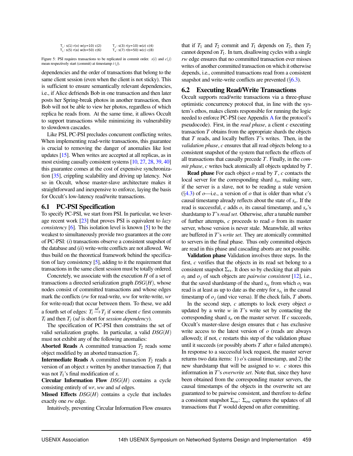<span id="page-7-0"></span>

| $T_1: s(1) r(x) w(y=10) c(2)$  | $T_2$ : s(3) r(y=10) w(z) c(4) |
|--------------------------------|--------------------------------|
| $T_3$ : s(5) r(a) w(b=50) c(6) | $T_4$ : s(7) r(b=50) w(c) c(8) |

Figure 5: PSI requires transactions to be replicated in commit order.  $s(i)$  and  $c(j)$ mean respectively start (commit) at timestamp *i* (*j*).

dependencies and the order of transactions that belong to the same client session (even when the client is not sticky). This is sufficient to ensure semantically relevant dependencies, i.e., if Alice defriends Bob in one transaction and then later posts her Spring-break photos in another transaction, then Bob will not be able to view her photos, regardless of which replica he reads from. At the same time, it allows Occult to support transactions while minimizing its vulnerability to slowdown cascades.

Like PSI, PC-PSI precludes concurrent conflicting writes. When implementing read-write transactions, this guarantee is crucial to removing the danger of anomalies like lost updates [\[15\]](#page-13-18). When writes are accepted at all replicas, as in most existing causally consistent systems [\[10,](#page-13-4) [27,](#page-13-6) [28,](#page-13-7) [39,](#page-14-1) [40\]](#page-14-3) this guarantee comes at the cost of expensive synchronization [\[35\]](#page-13-19), crippling scalability and driving up latency. Not so in Occult, whose master-slave architecture makes it straightforward and inexpensive to enforce, laying the basis for Occult's low-latency read/write transactions.

#### 6.1 PC-PSI Specification

To specify PC-PSI, we start from PSI. In particular, we leverage recent work [\[23\]](#page-13-20) that proves PSI is equivalent to *lazy consistency* [\[6\]](#page-13-17). This isolation level is known [\[5\]](#page-13-21) to be the weakest to simultaneously provide two guarantees at the core of PC-PSI: (*i*) transactions observe a consistent snapshot of the database and (*ii*) write-write conflicts are not allowed. We thus build on the theoretical framework behind the specification of lazy consistency [\[5\]](#page-13-21), adding to it the requirement that transactions in the same client session must be totally ordered.

Concretely, we associate with the execution *H* of a set of transactions a directed serialization graph *DSG*(*H*), whose nodes consist of committed transactions and whose edges mark the conflicts (*rw* for read-write, *ww* for write-write, *wr* for write-read) that occur between them. To these, we add a fourth set of edges:  $T_i \stackrel{sd}{\longrightarrow} T_j$  if some client *c* first commits *T<sup>i</sup>* and then *T<sup>j</sup>* (*sd* is short for *session dependency*).

The specification of PC-PSI then constrains the set of valid serialization graphs. In particular, a valid *DSG*(*H*) must not exhibit any of the following anomalies:

Aborted Reads A committed transaction  $T_2$  reads some object modified by an aborted transaction *T*1.

**Intermediate Reads** A committed transaction  $T_2$  reads a version of an object  $x$  written by another transaction  $T_1$  that was not  $T_1$ 's final modification of  $x$ .

Circular Information Flow *DSG*(*H*) contains a cycle consisting entirely of *wr*, *ww* and *sd* edges.

**Missed Effects**  $DSG(H)$  contains a cycle that includes exactly one *rw* edge.

Intuitively, preventing Circular Information Flow ensures

that if  $T_1$  and  $T_2$  commit and  $T_1$  depends on  $T_2$ , then  $T_2$ cannot depend on  $T_1$ . In turn, disallowing cycles with a single *rw* edge ensures that no committed transaction ever misses writes of another committed transaction on which it otherwise depends, i.e., committed transactions read from a consistent snapshot and write-write conflicts are prevented  $(\S6.3)$  $(\S6.3)$ .

#### <span id="page-7-1"></span>6.2 Executing Read/Write Transactions

Occult supports read/write transactions via a three-phase optimistic concurrency protocol that, in line with the system's ethos, makes clients responsible for running the logic needed to enforce PC-PSI (see Appendix [A](#page-15-0) for the protocol's pseudocode). First, in the *read phase*, a client *c* executing transaction *T* obtains from the appropriate shards the objects that *T* reads, and locally buffers *T*'s writes. Then, in the *validation phase*, *c* ensures that all read objects belong to a consistent snapshot of the system that reflects the effects of all transactions that causally precede *T*. Finally, in the *commit phase*, *c* writes back atomically all objects updated by *T*.

Read phase For each object *o* read by *T*, *c* contacts the local server for the corresponding shard *so*, making sure, if the server is a slave, not to be reading a stale version  $(\S4.3)$  $(\S4.3)$  of  $o$ —i.e., a version of  $o$  that is older than what  $c$ 's causal timestamp already reflects about the state of *so*. If the read is successful, *c* adds *o*, its causal timestamp, and *so*'s shardstamp to *T*'s*read set*. Otherwise, after a tunable number of further attempts, *c* proceeds to read *o* from its master server, whose version is never stale. Meanwhile, all writes are buffered in *T*'s *write set*. They are atomically committed to servers in the final phase. Thus only committed objects are read in this phase and cascading aborts are not possible.

Validation phase Validation involves three steps. In the first, *c* verifies that the objects in its read set belong to a consistent snapshot  $\Sigma_{rs}$ . It does so by checking that all pairs  $o_i$  and  $o_j$  of such objects are *pairwise consistent* [\[12\]](#page-13-22), i.e., that the saved shardstamp of the shard  $s_{o_i}$  from which  $o_i$  was read is at least as up to date as the entry for *so<sup>i</sup>* in the causal timestamp of  $o_j$  (and vice versa). If the check fails,  $T$  aborts.

In the second step, *c* attempts to lock every object *o* updated by a write  $w$  in  $T$ 's write set by contacting the corresponding shard *s<sup>o</sup>* on the master server. If *c* succeeds, Occult's master-slave design ensures that *c* has exclusive write access to the latest version of *o* (reads are always allowed); if not, *c* restarts this step of the validation phase until it succeeds (or possibly aborts *T* after *n* failed attempts). In response to a successful lock request, the master server returns two data items: 1) *o*'s causal timestamp, and 2) the new shardstamp that will be assigned to *w*. *c* stores this information in *T*'s *overwrite set*. Note that, since they have been obtained from the corresponding master servers, the causal timestamps of the objects in the overwrite set are guaranteed to be pairwise consistent, and therefore to define a consistent snapshot Σ*ow*: Σ*ow* captures the updates of all transactions that *T* would depend on after committing.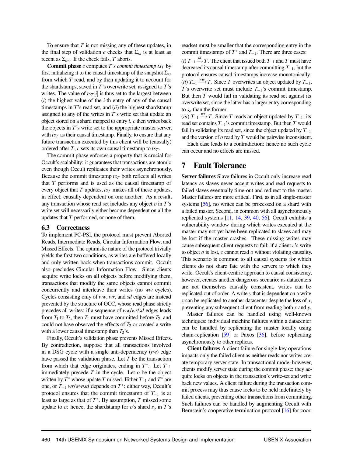To ensure that *T* is not missing any of these updates, in the final step of validation *c* checks that  $\Sigma_{rs}$  is at least as recent as  $\Sigma_{ow}$ . If the check fails, *T* aborts.

**Commit phase**  $c$  computes  $T$ 's *commit timestamp*  $ts_T$  by first initializing it to the causal timestamp of the snapshot  $\Sigma_{rs}$ from which *T* read, and by then updating it to account for the shardstamps, saved in *T*'s overwrite set, assigned to *T*'s writes. The value of  $t s_T[i]$  is thus set to the largest between (*i*) the highest value of the *i*-th entry of any of the causal timestamps in *T*'s read set, and (*ii*) the highest shardstamp assigned to any of the writes in *T*'s write set that update an object stored on a shard mapped to entry *i*. *c* then writes back the objects in *T*'s write set to the appropriate master server, with  $t s_T$  as their causal timestamp. Finally, to ensure that any future transaction executed by this client will be (causally) ordered after *T*, *c* sets its own causal timestamp to *ts<sup>T</sup>* .

The commit phase enforces a property that is crucial for Occult's scalability: it guarantees that transactions are atomic even though Occult replicates their writes asynchronously. Because the commit timestamp *ts<sup>T</sup>* both reflects all writes that *T* performs and is used as the causal timestamp of every object that *T* updates, *ts<sup>T</sup>* makes all of these updates, in effect, causally dependent on one another. As a result, any transaction whose read set includes any object *o* in *T*'s write set will necessarily either become dependent on all the updates that *T* performed, or none of them.

#### <span id="page-8-0"></span>6.3 Correctness

To implement PC-PSI, the protocol must prevent Aborted Reads, Intermediate Reads, Circular Information Flow, and Missed Effects. The optimistic nature of the protocol trivially yields the first two conditions, as writes are buffered locally and only written back when transactions commit. Occult also precludes Circular Information Flow. Since clients acquire write locks on all objects before modifying them, transactions that modify the same objects cannot commit concurrently and interleave their writes (no *ww* cycles). Cycles consisting only of *ww*, *wr*, and *sd* edges are instead prevented by the structure of OCC, whose read phase strictly precedes all writes: if a sequence of *ww*/*wr*/*sd* edges leads from  $T_1$  to  $T_2$ , then  $T_1$  must have committed before  $T_2$ , and could not have observed the effects of  $T_2$  or created a write with a lower causal timestamp than  $T_2$ 's.

Finally, Occult's validation phase prevents Missed Effects. By contradiction, suppose that all transactions involved in a DSG cycle with a single anti-dependency (*rw*) edge have passed the validation phase. Let *T* be the transaction from which that edge originates, ending in  $T^*$ . Let  $T_{-1}$ immediately precede  $T$  in the cycle. Let  $o$  be the object written by  $T^*$  whose update  $T$  missed. Either  $T_{-1}$  and  $T^*$  are one, or *T*−<sup>1</sup> *wr*/*ww*/*sd* depends on *T* ∗ : either way, Occult's protocol ensures that the commit timestamp of *T*−<sup>1</sup> is at least as large as that of  $T^*$ . By assumption,  $T$  missed some update to  $\sigma$ : hence, the shardstamp for  $\sigma$ 's shard  $s_{\sigma}$  in *T*'s

readset must be smaller that the corresponding entry in the commit timestamps of  $T^*$  and  $T_{-1}$ . There are three cases:

 $(i) T_{-1} \stackrel{sd}{\longrightarrow} T$ . The client that issued both  $T_{-1}$  and  $T$  must have decreased its causal timestamp after committing *T*−1, but the protocol ensures causal timestamps increase monotonically.  $(iii) T_{-1} \stackrel{WW}{\longrightarrow} T$ . Since *T* overwrites an object updated by  $T_{-1}$ , *T*'s overwrite set must include *T*−1's commit timestamp. But then *T* would fail in validating its read set against its overwrite set, since the latter has a larger entry corresponding to *s<sup>o</sup>* than the former.

 $(iii) T_{-1} \stackrel{wr}{\longrightarrow} T$ . Since *T* reads an object updated by  $T_{-1}$ , its read set contains *T*−1's commit timestamp. But then *T* would fail in validating its read set, since the object updated by *T*−<sup>1</sup> and the version of *o* read by *T* would be pairwise inconsistent.

Each case leads to a contradiction: hence no such cycle can occur and no effects are missed.

# 7 Fault Tolerance

Server failures Slave failures in Occult only increase read latency as slaves never accept writes and read requests to failed slaves eventually time-out and redirect to the master. Master failures are more critical. First, as in all single-master systems [\[56\]](#page-14-13), no writes can be processed on a shard with a failed master. Second, in common with all asynchronously replicated systems [\[11,](#page-13-23) [14,](#page-13-5) [39,](#page-14-1) [40,](#page-14-3) [56\]](#page-14-13), Occult exhibits a vulnerability window during which writes executed at the master may not yet have been replicated to slaves and may be lost if the master crashes. These missing writes may cause subsequent client requests to fail: if a client *c*'s write to object *o* is lost, *c* cannot read *o* without violating causality. This scenario is common to all causal systems for which clients do not share fate with the servers to which they write. Occult's client-centric approach to causal consistency, however, creates another dangerous scenario: as datacenters are not themselves causally consistent, writes can be replicated out of order. A write *y* that is dependent on a write *x* can be replicated to another datacenter despite the loss of *x*, preventing any subsequent client from reading both *x* and *y*.

Master failures can be handled using well-known techniques: individual machine failures within a datacenter can be handled by replicating the master locally using chain-replication [\[59\]](#page-14-14) or Paxos [\[36\]](#page-14-15), before replicating asynchronously to other replicas.

Client failures A client failure for single-key operations impacts only the failed client as neither reads nor writes create temporary server state. In transactional mode, however, clients modify server state during the commit phase: they acquire locks on objects in the transaction's write-set and write back new values. A client failure during the transaction commit process may thus cause locks to be held indefinitely by failed clients, preventing other transactions from committing. Such failures can be handled by augmenting Occult with Bernstein's cooperative termination protocol [\[16\]](#page-13-24) for coor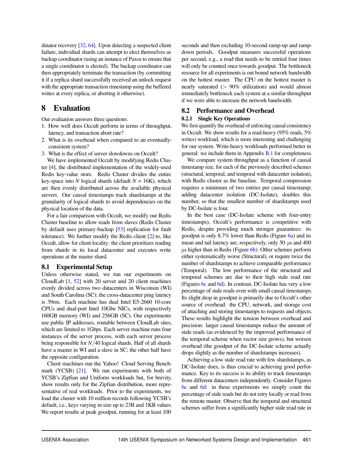dinator recovery [\[32,](#page-13-25) [64\]](#page-14-16). Upon detecting a suspected client failure, individual shards can attempt to elect themselves as backup coordinator (using an instance of Paxos to ensure that a single coordinator is elected). The backup coordinator can then appropriately terminate the transaction (by committing it if a replica shard successfully received an unlock request with the appropriate transaction timestamp using the buffered writes at every replica, or aborting it otherwise).

# 8 Evaluation

Our evaluation answers three questions:

- 1. How well does Occult perform in terms of throughput, latency, and transaction abort rate?
- 2. What is its overhead when compared to an eventuallyconsistent system?
- 3. What is the effect of server slowdowns on Occult?

We have implemented Occult by modifying Redis Cluster [\[4\]](#page-12-1), the distributed implementation of the widely-used Redis key-value store. Redis Cluster divides the entire key-space into *N* logical shards (default  $N = 16K$ ), which are then evenly distributed across the available physical servers. Our causal timestamps track shardstamps at the granularity of logical shards to avoid dependencies on the physical location of the data.

For a fair comparison with Occult, we modify our Redis Cluster baseline to allow reads from slaves (Redis Cluster by default uses primary-backup [\[53\]](#page-14-17) replication for fault tolerance). We further modify the Redis client [\[2\]](#page-12-2) to, like Occult, allow for client locality: the client prioritizes reading from shards in its local datacenter and executes write operations at the master shard.

#### <span id="page-9-1"></span>8.1 Experimental Setup

Unless otherwise stated, we run our experiments on CloudLab [\[1,](#page-12-3) [52\]](#page-14-18) with 20 server and 20 client machines evenly divided across two datacenters in Wisconsin (WI) and South Carolina (SC); the cross-datacenter ping latency is 39ms. Each machine has dual Intel E5-2660 10-core CPUs and dual-port Intel 10Gbe NICs, with respectively 160GB memory (WI) and 256GB (SC). Our experiments use public IP addresses, routable between CloudLab sites, which are limited to 1Gbps. Each server machine runs four instances of the server process, with each server process being responsible for *N*/40 logical shards. Half of all shards have a master in WI and a slave in SC; the other half have the opposite configuration.

Client machines run the Yahoo! Cloud Serving Bench-mark (YCSB) [\[21\]](#page-13-26). We run experiments with both of YCSB's Zipfian and Uniform workloads but, for brevity, show results only for the Zipfian distribution, more representative of real workloads. Prior to the experiments, we load the cluster with 10 million records following YCSB's default, i.e., keys varying in size up to 23B and 1KB values. We report results at peak goodput, running for at least 100

seconds and then excluding 10-second ramp-up and rampdown periods. Goodput measures successful operations per second, e.g., a read that needs to be retried four times will only be counted once towards goodput. The bottleneck resource for all experiments is out bound network bandwidth on the hottest master. The CPU on the hottest master is nearly saturated (> 90% utilization) and would almost immediately bottleneck each system at a similar throughput if we were able to increase the network bandwidth.

#### <span id="page-9-2"></span>8.2 Performance and Overhead

#### <span id="page-9-0"></span>8.2.1 Single Key Operations

We first quantify the overhead of enforcing causal consistency in Occult. We show results for a read-heavy (95% reads, 5% writes) workload, which is more interesting and challenging for our system. Write-heavy workloads performed better in general: we include them in Appendix [B.1](#page-16-0) for completeness.

We compare system throughput as a function of causal timestamp size, for each of the previously described schemes (structural, temporal, and temporal with datacenter isolation), with Redis cluster as the baseline. Temporal compression requires a minimum of two entries per causal timestamp; adding datacenter isolation (DC-Isolate), doubles this number, so that the smallest number of shardstamps used by DC-Isolate is four.

In the best case (DC-Isolate scheme with four-entry timestamps), Occult's performance is competitive with Redis, despite providing much stronger guarantees: its goodput is only 8.7% lower than Redis (Figure [6a\)](#page-10-0) and its mean and tail latency are, respectively, only 50 μs and 400 μs higher than in Redis (Figure [6b\)](#page-10-0). Other schemes perform either systematically worse (Structural), or require twice the number of shardstamps to achieve comparable performance (Temporal). The low performance of the structural and temporal schemes are due to their high stale read rate (Figures [6c](#page-10-0) and [6d\)](#page-10-0). In contrast, DC-Isolate has very a low percentage of stale reads even with small causal timestamps. Its slight drop in goodput is primarily due to Occult's other source of overhead: the CPU, network, and storage cost of attaching and storing timestamps to requests and objects. These results highlight the tension between overhead and precision: larger causal timestamps reduce the amount of stale reads (as evidenced by the improved performance of the temporal scheme when vector size grows), but worsen overhead (the goodput of the DC-Isolate scheme actually drops slightly as the number of shardstamps increases).

Achieving a low stale read rate with few shardstamps, as DC-Isolate does, is thus crucial to achieving good performance. Key to its success is its ability to track timestamps from different datacenters independently. Consider Figures [6c](#page-10-0) and [6d:](#page-10-0) in these experiments we simply count the percentage of stale reads but do not retry locally or read from the remote master. Observe that the temporal and structural schemes suffer from a significantly higher stale read rate in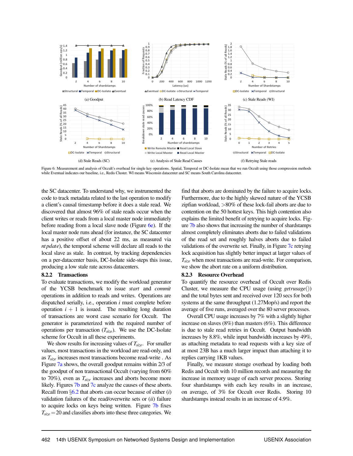<span id="page-10-0"></span>

Figure 6: Measurement and analysis of Occult's overhead for single key operations. Spatial, Temporal or DC-Isolate mean that we run Occult using those compression methods while Eventual indicates our baseline, i.e., Redis Cluster. WI means Wisconsin datacenter and SC means South Carolina datacenter.

the SC datacenter. To understand why, we instrumented the code to track metadata related to the last operation to modify a client's causal timestamp before it does a stale read. We discovered that almost 96% of stale reads occur when the client writes or reads from a local master node immediately before reading from a local slave node (Figure [6e\)](#page-10-0). If the local master node runs ahead (for instance, the SC datacenter has a positive offset of about 22 ms, as measured via *nt pdate*), the temporal scheme will declare all reads to the local slave as stale. In contrast, by tracking dependencies on a per-datacenter basis, DC-Isolate side-steps this issue, producing a low stale rate across datacenters.

#### 8.2.2 Transactions

To evaluate transactions, we modify the workload generator of the YCSB benchmark to issue *start* and *commit* operations in addition to reads and writes. Operations are dispatched serially, i.e., operation *i* must complete before operation  $i + 1$  is issued. The resulting long duration of transactions are worst case scenario for Occult. The generator is parameterized with the required number of operations per transaction (*Tsize*). We use the DC-Isolate scheme for Occult in all these experiments.

We show results for increasing values of *Tsize*. For smaller values, most transactions in the workload are read-only, and as *Tsize* increases most transactions become read-write . As Figure [7a](#page-11-0) shows, the overall goodput remains within 2/3 of the goodput of non transactional Occult (varying from 60% to 70%), even as *Tsize* increases and aborts become more likely. Figures [7b](#page-11-0) and [7c](#page-11-0) analyze the causes of these aborts. Recall from §[6.2](#page-7-1) that aborts can occur because of either (*i*) validation failures of the read/overwrite sets or (*ii*) failure to acquire locks on keys being written. Figure [7b](#page-11-0) fixes  $T_{size}$  = 20 and classifies aborts into these three categories. We

find that aborts are dominated by the failure to acquire locks. Furthermore, due to the highly skewed nature of the YCSB zipfian workload, >80% of these lock-fail aborts are due to contention on the 50 hottest keys. This high contention also explains the limited benefit of retrying to acquire locks. Figure [7b](#page-11-0) also shows that increasing the number of shardstamps almost completely eliminates aborts due to failed validations of the read set and roughly halves aborts due to failed validations of the overwrite set. Finally, in Figure [7c](#page-11-0) retrying lock acquisition has slightly better impact at larger values of *Tsize* when most transactions are read-write. For comparison, we show the abort rate on a uniform distribution.

#### 8.2.3 Resource Overhead

To quantify the resource overhead of Occult over Redis Cluster, we measure the CPU usage (using *getrusage*()) and the total bytes sent and received over 120 secs for both systems at the same throughput (1.27Mop/s) and report the average of five runs, averaged over the 80 server processes.

Overall CPU usage increases by 7% with a slightly higher increase on slaves (8%) than masters (6%). This difference is due to stale read retries in Occult. Output bandwidth increases by 8.8%, while input bandwidth increases by 49%, as attaching metadata to read requests with a key size of at most 23B has a much larger impact than attaching it to replies carrying 1KB values.

Finally, we measure storage overhead by loading both Redis and Occult with 10 million records and measuring the increase in memory usage of each server process. Storing four shardstamps with each key results in an increase, on average, of 3% for Occult over Redis. Storing 10 shardstamps instead results in an increase of 4.9%.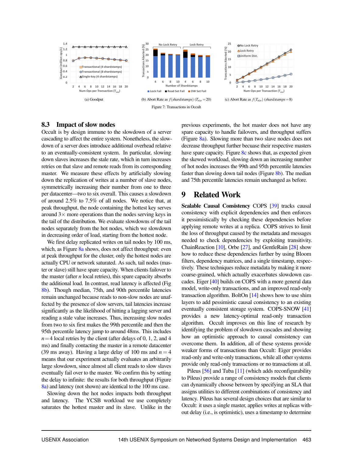<span id="page-11-0"></span>

#### 8.3 Impact of slow nodes

Occult is by design immune to the slowdown of a server cascading to affect the entire system. Nonetheless, the slowdown of a server does introduce additional overhead relative to an eventually-consistent system. In particular, slowing down slaves increases the stale rate, which in turn increases retries on that slave and remote reads from its corresponding master. We measure these effects by artificially slowing down the replication of writes at a number of slave nodes, symmetrically increasing their number from one to three per datacenter—two to six overall. This causes a slowdown of around 2.5% to 7.5% of all nodes. We notice that, at peak throughput, the node containing the hottest key serves around  $3\times$  more operations than the nodes serving keys in the tail of the distribution. We evaluate slowdowns of the tail nodes separately from the hot nodes, which we slowdown in decreasing order of load, starting from the hottest node.

We first delay replicated writes on tail nodes by 100 ms, which, as Figure [8a](#page-12-4) shows, does not affect throughput: even at peak throughput for the cluster, only the hottest nodes are actually CPU or network saturated. As such, tail nodes (master or slave) still have spare capacity. When clients failover to the master (after *n* local retries), this spare capacity absorbs the additional load. In contrast, read latency is affected (Fig [8b\)](#page-12-4). Though median, 75th, and 90th percentile latencies remain unchanged because reads to non-slow nodes are unaffected by the presence of slow servers, tail latencies increase significantly as the likelihood of hitting a lagging server and reading a stale value increases. Thus, increasing slow nodes from two to six first makes the 99th percentile and then the 95th percentile latency jump to around 48ms. This includes  $n=4$  local retries by the client (after delays of 0, 1, 2, and 4 ms) and finally contacting the master in a remote datacenter (39 ms away). Having a large delay of 100 ms and  $n = 4$ means that our experiment actually evaluates an arbitrarily large slowdown, since almost all client reads to slow slaves eventually fail over to the master. We confirm this by setting the delay to infinite: the results for both throughput (Figure [8a\)](#page-12-4) and latency (not shown) are identical to the 100 ms case.

Slowing down the hot nodes impacts both throughput and latency. The YCSB workload we use completely saturates the hottest master and its slave. Unlike in the previous experiments, the hot master does not have any spare capacity to handle failovers, and throughput suffers (Figure [8a\)](#page-12-4). Slowing more than two slave nodes does not decrease throughput further becuase their respective masters have spare capacity. Figure [8c](#page-12-4) shows that, as expected given the skewed workload, slowing down an increasing number of hot nodes increases the 99th and 95th percentile latencies faster than slowing down tail nodes (Figure [8b\)](#page-12-4). The median and 75th percentile latencies remain unchanged as before.

# 9 Related Work

Scalable Causal Consistency COPS [\[39\]](#page-14-1) tracks causal consistency with explicit dependencies and then enforces it pessimistically by checking these dependencies before applying remote writes at a replica. COPS strives to limit the loss of throughput caused by the metadata and messages needed to check dependencies by exploiting transitivity. ChainReaction [\[10\]](#page-13-4), Orbe [\[27\]](#page-13-6), and GentleRain [\[28\]](#page-13-7) show how to reduce these dependencies further by using Bloom filters, dependency matrices, and a single timestamp, respectively. These techniques reduce metadata by making it more coarse-grained, which actually exacerbates slowdown cascades. Eiger [\[40\]](#page-14-3) builds on COPS with a more general data model, write-only transactions, and an improved read-only transaction algorithm. BoltOn [\[14\]](#page-13-5) shows how to use shim layers to add pessimistic causal consistency to an existing eventually consistent storage system. COPS-SNOW [\[41\]](#page-14-19) provides a new latency-optimal read-only transaction algorithm. Occult improves on this line of research by identifying the problem of slowdown cascades and showing how an optimistic approach to causal consistency can overcome them. In addition, all of these systems provide weaker forms of transactions than Occult: Eiger provides read-only and write-only transactions, while all other systems provide only read-only transactions or no transactions at all.

Pileus [\[56\]](#page-14-13) and Tuba [\[11\]](#page-13-23) (which adds reconfigurability to Pileus) provide a range of consistency models that clients can dynamically choose between by specifying an SLA that assigns utilities to different combinations of consistency and latency. Pileus has several design choices that are similar to Occult: it uses a single master, applies writes at replicas without delay (i.e., is optimistic), uses a timestamp to determine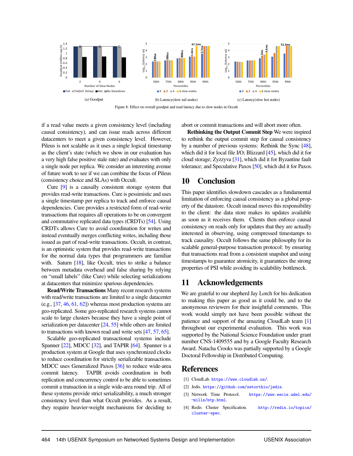<span id="page-12-4"></span>

Figure 8: Effect on overall goodput and read latency due to slow nodes in Occult

if a read value meets a given consistency level (including causal consistency), and can issue reads across different datacenters to meet a given consistency level. However, Pileus is not scalable as it uses a single logical timestamp as the client's state (which we show in our evaluation has a very high false positive stale rate) and evaluates with only a single node per replica. We consider an interesting avenue of future work to see if we can combine the focus of Pileus (consistency choice and SLAs) with Occult.

Cure [\[9\]](#page-13-27) is a causally consistent storage system that provides read-write transactions. Cure is pessimistic and uses a single timestamp per replica to track and enforce causal dependencies. Cure provides a restricted form of read-write transactions that requires all operations to be on convergent and commutative replicated data types (CRDTs) [\[54\]](#page-14-20). Using CRDTs allows Cure to avoid coordination for writes and instead eventually merges conflicting writes, including those issued as part of read-write transactions. Occult, in contrast, is an optimistic system that provides read-write transactions for the normal data types that programmers are familiar with. Saturn [\[18\]](#page-13-28), like Occult, tries to strike a balance between metadata overhead and false sharing by relying on "small labels" (like Cure) while selecting serializations at datacenters that minimize spurious dependencies.

Read/Write Transactions Many recent research systems with read/write transactions are limited to a single datacenter (e.g.,  $[37, 46, 61, 62]$  $[37, 46, 61, 62]$  $[37, 46, 61, 62]$  $[37, 46, 61, 62]$  $[37, 46, 61, 62]$  $[37, 46, 61, 62]$  $[37, 46, 61, 62]$ ) whereas most production systems are geo-replicated. Some geo-replicated research systems cannot scale to large clusters because they have a single point of serialization per datacenter [\[24,](#page-13-16) [55\]](#page-14-7) while others are limited to transactions with known read and write sets [\[47,](#page-14-25) [57,](#page-14-26) [65\]](#page-15-1).

Scalable geo-replicated transactional systems include Spanner [\[22\]](#page-13-29), MDCC [\[32\]](#page-13-25), and TAPIR [\[64\]](#page-14-16). Spanner is a production system at Google that uses synchronized clocks to reduce coordination for strictly serializable transactions. MDCC uses Generalized Paxos [\[36\]](#page-14-15) to reduce wide-area commit latency. TAPIR avoids coordination in both replication and concurrency control to be able to sometimes commit a transaction in a single wide-area round trip. All of these systems provide strict serializability, a much stronger consistency level than what Occult provides. As a result, they require heavier-weight mechanisms for deciding to

abort or commit transactions and will abort more often.

Rethinking the Output Commit Step We were inspired to rethink the output commit step for causal consistency by a number of previous systems: Rethink the Sync [\[48\]](#page-14-4), which did it for local file I/O; Blizzard [\[45\]](#page-14-27), which did it for cloud storage; Zyzzyva [\[31\]](#page-13-30), which did it for Byzantine fault tolerance; and Speculative Paxos [\[50\]](#page-14-28), which did it for Paxos.

# 10 Conclusion

This paper identifies slowdown cascades as a fundamental limitation of enforcing causal consistency as a global property of the datastore. Occult instead moves this responsibility to the client: the data store makes its updates available as soon as it receives them. Clients then enforce causal consistency on reads only for updates that they are actually interested in observing, using compressed timestamps to track causality. Occult follows the same philosophy for its scalable general-purpose transaction protocol: by ensuring that transactions read from a consistent snapshot and using timestamps to guarantee atomicity, it guarantees the strong properties of PSI while avoiding its scalability bottleneck.

# 11 Acknowledgements

We are grateful to our shepherd Jay Lorch for his dedication to making this paper as good as it could be, and to the anonymous reviewers for their insightful comments. This work would simply not have been possible without the patience and support of the amazing CloudLab team [\[1\]](#page-12-3) throughout our experimental evaluation. This work was supported by the National Science Foundation under grant number CNS-1409555 and by a Google Faculty Research Award. Natacha Crooks was partially supported by a Google Doctoral Fellowship in Distributed Computing.

## **References**

- <span id="page-12-3"></span>[1] CloudLab. <https://www.cloudlab.us/>.
- <span id="page-12-2"></span>[2] Jedis. <https://github.com/xetorthio/jedis>.
- <span id="page-12-0"></span>[3] Network Time Protocol. [https://www.eecis.udel.edu/](https://www.eecis.udel.edu/~mills/ntp.html) [~mills/ntp.html](https://www.eecis.udel.edu/~mills/ntp.html).
- <span id="page-12-1"></span>[4] Redis Cluster Specification. [http://redis.io/topics/](http://redis.io/topics/cluster-spec) [cluster-spec](http://redis.io/topics/cluster-spec).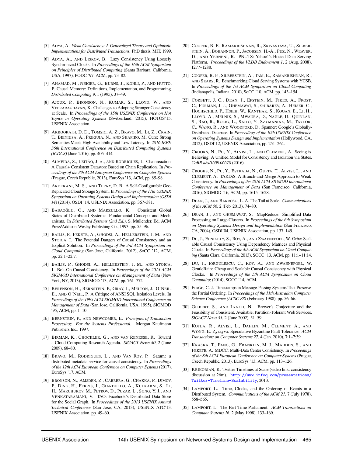- <span id="page-13-21"></span>[5] ADYA, A. *Weak Consistency: A Generalized Theory and Optimistic Implementations for Distributed Transactions*. PhD thesis, MIT, 1999.
- <span id="page-13-17"></span>[6] ADYA, A., AND LISKOV, B. Lazy Consistency Using Loosely Synchronized Clocks. In *Proceedings of the 16th ACM Symposium on Principles of Distributed Computing* (Santa Barbara, California, USA, 1997), PODC '97, ACM, pp. 73–82.
- <span id="page-13-0"></span>[7] AHAMAD, M., NEIGER, G., BURNS, J., KOHLI, P., AND HUTTO, P. Causal Memory: Definitions, Implementation, and Programming. *Distributed Computing 9*, 1 (1995), 37–49.
- <span id="page-13-8"></span>[8] AJOUX, P., BRONSON, N., KUMAR, S., LLOYD, W., AND VEERARAGHAVAN, K. Challenges to Adopting Stronger Consistency at Scale. In *Proceedings of the 15th USENIX Conference on Hot Topics in Operating Systems* (Switzerland, 2015), HOTOS'15, USENIX Association.
- <span id="page-13-27"></span>[9] AKKOORATH, D. D., TOMSIC, A. Z., BRAVO, M., LI, Z., CRAIN, T., BIENIUSA, A., PREGUIA, N., AND SHAPIRO, M. Cure: Strong Semantics Meets High Availability and Low Latency. In *2016 IEEE 36th International Conference on Distributed Computing Systems (ICDCS)* (June 2016), pp. 405–414.
- <span id="page-13-4"></span>[10] ALMEIDA, S., LEITÃO, J. A., AND RODRIGUES, L. Chainreaction: A Causal+ Consistent Datastore Based on Chain Replication. In *Proceedings of the 8th ACM European Conference on Computer Systems* (Prague, Czech Republic, 2013), EuroSys '13, ACM, pp. 85–98.
- <span id="page-13-23"></span>[11] ARDEKANI, M. S., AND TERRY, D. B. A Self-Configurable Geo-Replicated Cloud Storage System. In *Proceedings of the 11th USENIX Symposium on Operating Systems Design and Implementation (OSDI 14)* (2014), OSDI '14, USENIX Association, pp. 367–381.
- <span id="page-13-22"></span>[12] BABAOĞLU, O., AND MARZULLO, K. Consistent Global States of Distributed Systems: Fundamental Concepts and Mechanisms. In *Distributed Systems (2nd Ed.)*, S. Mullender, Ed. ACM Press/Addison-Wesley Publishing Co., 1993, pp. 55–96.
- <span id="page-13-2"></span>[13] BAILIS, P., FEKETE, A., GHODSI, A., HELLERSTEIN, J. M., AND STOICA, I. The Potential Dangers of Causal Consistency and an Explicit Solution. In *Proceedings of the 3rd ACM Symposium on Cloud Computing* (San Jose, California, 2012), SoCC '12, ACM, pp. 22:1–22:7.
- <span id="page-13-5"></span>[14] BAILIS, P., GHODSI, A., HELLERSTEIN, J. M., AND STOICA, I. Bolt-On Causal Consistency. In *Proceedings of the 2013 ACM SIGMOD International Conference on Management of Data* (New York, NY, 2013), SIGMOD '13, ACM, pp. 761–772.
- <span id="page-13-18"></span>[15] BERENSON, H., BERNSTEIN, P., GRAY, J., MELTON, J., O'NEIL, E., AND O'NEIL, P. A Critique of ANSI SQL Isolation Levels. In *Proceedings of the 1995 ACM SIGMOD International Conference on Management of Data* (San Jose, California, USA, 1995), SIGMOD '95, ACM, pp. 1–10.
- <span id="page-13-24"></span>[16] BERNSTEIN, P., AND NEWCOMER, E. *Principles of Transaction Processing: For the Systems Professional*. Morgan Kaufmann Publishers Inc., 1997.
- <span id="page-13-14"></span>[17] BIRMAN, K., CHOCKLER, G., AND VAN RENESSE, R. Toward a Cloud Computing Research Agenda. *SIGACT News 40*, 2 (June 2009), 68–80.
- <span id="page-13-28"></span>[18] BRAVO, M., RODRIGUES, L., AND VAN ROY, P. Saturn: a distributed metadata service for causal consistency. In *Proceedings of the 12th ACM European Conference on Computer Systems* (2017), EuroSys '17, ACM.
- <span id="page-13-15"></span>[19] BRONSON, N., AMSDEN, Z., CABRERA, G., CHAKKA, P., DIMOV, P., DING, H., FERRIS, J., GIARDULLO, A., KULKARNI, S., LI, H., MARCHUKOV, M., PETROV, D., PUZAR, L., SONG, Y. J., AND VENKATARAMANI, V. TAO: Facebook's Distributed Data Store for the Social Graph. In *Proceedings of the 2013 USENIX Annual Technical Conference* (San Jose, CA, 2013), USENIX ATC'13, USENIX Association, pp. 49–60.
- <span id="page-13-3"></span>[20] COOPER, B. F., RAMAKRISHNAN, R., SRIVASTAVA, U., SILBER-STEIN, A., BOHANNON, P., JACOBSEN, H.-A., PUZ, N., WEAVER, D., AND YERNENI, R. PNUTS: Yahoo!'s Hosted Data Serving Platform. *Proceedings of the VLDB Endowment 1*, 2 (Aug. 2008), 1277–1288.
- <span id="page-13-26"></span>[21] COOPER, B. F., SILBERSTEIN, A., TAM, E., RAMAKRISHNAN, R., AND SEARS, R. Benchmarking Cloud Serving Systems with YCSB. In *Proceedings of the 1st ACM Symposium on Cloud Computing* (Indianapolis, Indiana, 2010), SoCC '10, ACM, pp. 143–154.
- <span id="page-13-29"></span>[22] CORBETT, J. C., DEAN, J., EPSTEIN, M., FIKES, A., FROST, C., FURMAN, J. J., GHEMAWAT, S., GUBAREV, A., HEISER, C., HOCHSCHILD, P., HSIEH, W., KANTHAK, S., KOGAN, E., LI, H., LLOYD, A., MELNIK, S., MWAURA, D., NAGLE, D., QUINLAN, S., RAO, R., ROLIG, L., SAITO, Y., SZYMANIAK, M., TAYLOR, C., WANG, R., AND WOODFORD, D. Spanner: Google's Globally-Distributed Database. In *Proceedings of the 10th USENIX Conference on Operating Systems Design and Implementation* (Hollywood, CA, 2012), OSDI'12, USENIX Association, pp. 251–264.
- <span id="page-13-20"></span>[23] CROOKS, N., PU, Y., ALVISI, L., AND CLEMENT, A. Seeing is Believing: A Unified Model for Consistency and Isolation via States. *CoRR abs/1609.06670* (2016).
- <span id="page-13-16"></span>[24] CROOKS, N., PU, Y., ESTRADA, N., GUPTA, T., ALVISI, L., AND CLEMENT, A. TARDiS: A Branch-and-Merge Approach to Weak Consistency. In *Proceedings of the 2016 ACM SIGMOD International Conference on Management of Data* (San Francisco, California, 2016), SIGMOD '16, ACM, pp. 1615–1628.
- <span id="page-13-12"></span>[25] DEAN, J., AND BARROSO, L. A. The Tail at Scale. *Communications of the ACM 56*, 2 (Feb. 2013), 74–80.
- <span id="page-13-13"></span>[26] DEAN, J., AND GHEMAWAT, S. MapReduce: Simplified Data Processing on Large Clusters. In *Proceedings of the 6th Symposium on Operating Systems Design and Implementation* (San Francisco, CA, 2004), OSDI'04, USENIX Association, pp. 137–149.
- <span id="page-13-6"></span>[27] DU, J., ELNIKETY, S., ROY, A., AND ZWAENEPOEL, W. Orbe: Scalable Causal Consistency Using Dependency Matrices and Physical Clocks. In *Proceedings of the 4th ACM Symposium on Cloud Computing* (Santa Clara, California, 2013), SOCC '13, ACM, pp. 11:1–11:14.
- <span id="page-13-7"></span>[28] DU, J., IORGULESCU, C., ROY, A., AND ZWAENEPOEL, W. GentleRain: Cheap and Scalable Causal Consistency with Physical Clocks. In *Proceedings of the 5th ACM Symposium on Cloud Computing* (2014), SOCC '14, ACM.
- <span id="page-13-9"></span>[29] FIDGE, C. J. Timestamps in Message-Passing Systems That Preserve the Partial Ordering. In *Proceedings of the 11th Australian Computer Science Conference (ACSC'88)* (February 1988), pp. 56–66.
- <span id="page-13-1"></span>[30] GILBERT, S., AND LYNCH, N. Brewer's Conjecture and the Feasibility of Consistent, Available, Partition-Tolerant Web Services. *SIGACT News 33*, 2 (June 2002), 51–59.
- <span id="page-13-30"></span>[31] KOTLA, R., ALVISI, L., DAHLIN, M., CLEMENT, A., AND WONG, E. Zyzzyva: Speculative Byzantine Fault Tolerance. *ACM Transactions on Computer Systems 27*, 4 (Jan. 2010), 7:1–7:39.
- <span id="page-13-25"></span>[32] KRASKA, T., PANG, G., FRANKLIN, M. J., MADDEN, S., AND FEKETE, A. MDCC: Multi-Data Center Consistency. In *Proceedings of the 8th ACM European Conference on Computer Systems* (Prague, Czech Republic, 2013), EuroSys '13, ACM, pp. 113–126.
- <span id="page-13-11"></span>[33] KRIKORIAN, R. Twitter Timelines at Scale (video link. consistency discussion at 26m). [http://www.infoq.com/presentations/](http://www.infoq.com/presentations/Twitter-Timeline-Scalability) [Twitter-Timeline-Scalability](http://www.infoq.com/presentations/Twitter-Timeline-Scalability), 2013.
- <span id="page-13-10"></span>[34] LAMPORT, L. Time, Clocks, and the Ordering of Events in a Distributed System. *Communications of the ACM 21*, 7 (July 1978), 558–565.
- <span id="page-13-19"></span>[35] LAMPORT, L. The Part-Time Parliament. *ACM Transactions on Computer Systems 16*, 2 (May 1998), 133–169.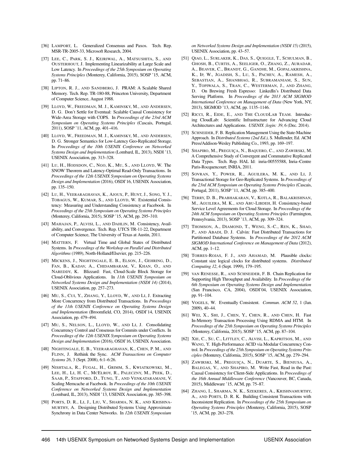- <span id="page-14-15"></span>[36] LAMPORT, L. Generalized Consensus and Paxos. Tech. Rep. MSR-TR-2005-33, Microsoft Research, 2004.
- <span id="page-14-21"></span>[37] LEE, C., PARK, S. J., KEJRIWAL, A., MATSUSHITA, S., AND OUSTERHOUT, J. Implementing Linearizability at Large Scale and Low Latency. In *Proceedings of the 25th Symposium on Operating Systems Principles* (Monterey, California, 2015), SOSP '15, ACM, pp. 71–86.
- <span id="page-14-0"></span>[38] LIPTON, R. J., AND SANDBERG, J. PRAM: A Scalable Shared Memory. Tech. Rep. TR-180-88, Princeton University, Department of Computer Science, August 1988.
- <span id="page-14-1"></span>[39] LLOYD, W., FREEDMAN, M. J., KAMINSKY, M., AND ANDERSEN, D. G. Don't Settle for Eventual: Scalable Causal Consistency for Wide-Area Storage with COPS. In *Proceedings of the 23rd ACM Symposium on Operating Systems Principles* (Cascais, Portugal, 2011), SOSP '11, ACM, pp. 401–416.
- <span id="page-14-3"></span>[40] LLOYD, W., FREEDMAN, M. J., KAMINSKY, M., AND ANDERSEN, D. G. Stronger Semantics for Low-Latency Geo-Replicated Storage. In *Proceedings of the 10th USENIX Conference on Networked Systems Design and Implementation* (Lombard, IL, 2013), NSDI '13, USENIX Association, pp. 313–328.
- <span id="page-14-19"></span>[41] LU, H., HODSDON, C., NGO, K., MU, S., AND LLOYD, W. The SNOW Theorem and Latency-Optimal Read-Only Transactions. In *Proceedings of the 12th USENIX Symposium on Operating Systems Design and Implementation* (2016), OSDI'16, USENIX Association, pp. 135–150.
- <span id="page-14-5"></span>[42] LU, H., VEERARAGHAVAN, K., AJOUX, P., HUNT, J., SONG, Y. J., TOBAGUS, W., KUMAR, S., AND LLOYD, W. Existential Consistency: Measuring and Understanding Consistency at Facebook. In *Proceedings of the 25th Symposium on Operating Systems Principles* (Monterey, California, 2015), SOSP '15, ACM, pp. 295–310.
- <span id="page-14-2"></span>[43] MAHAJAN, P., ALVISI, L., AND DAHLIN, M. Consistency, Availability, and Convergence. Tech. Rep. UTCS TR-11-22, Department of Computer Science, The University of Texas at Austin, 2011.
- <span id="page-14-6"></span>[44] MATTERN, F. Virtual Time and Global States of Distributed Systems. In *Proceedings of the Workshop on Parallel and Distributed Algorithms* (1989), North-Holland/Elsevier, pp. 215–226.
- <span id="page-14-27"></span>[45] MICKENS, J., NIGHTINGALE, E. B., ELSON, J., GEHRING, D., FAN, B., KADAV, A., CHIDAMBARAM, V., KHAN, O., AND NAREDDY, K. Blizzard: Fast, Cloud-Scale Block Storage for Cloud-Oblivious Applications. In *11th USENIX Symposium on Networked Systems Design and Implementation (NSDI 14)* (2014), USENIX Association, pp. 257–273.
- <span id="page-14-22"></span>[46] MU, S., CUI, Y., ZHANG, Y., LLOYD, W., AND LI, J. Extracting More Concurrency from Distributed Transactions. In *Proceedings of the 11th USENIX Conference on Operating Systems Design and Implementation* (Broomfield, CO, 2014), OSDI'14, USENIX Association, pp. 479–494.
- <span id="page-14-25"></span>[47] MU, S., NELSON, L., LLOYD, W., AND LI, J. Consolidating Concurrency Control and Consensus for Commits under Conflicts. In *Proceedings of the 12th USENIX Symposium on Operating Systems Design and Implementation* (2016), OSDI'16, USENIX Association.
- <span id="page-14-4"></span>[48] NIGHTINGALE, E. B., VEERARAGHAVAN, K., CHEN, P. M., AND FLINN, J. Rethink the Sync. *ACM Transactions on Computer Systems 26*, 3 (Sept. 2008), 6:1–6:26.
- <span id="page-14-10"></span>[49] NISHTALA, R., FUGAL, H., GRIMM, S., KWIATKOWSKI, M., LEE, H., LI, H. C., MCELROY, R., PALECZNY, M., PEEK, D., SAAB, P., STAFFORD, D., TUNG, T., AND VENKATARAMANI, V. Scaling Memcache at Facebook. In *Proceedings of the 10th USENIX Conference on Networked Systems Design and Implementation* (Lombard, IL, 2013), NSDI '13, USENIX Association, pp. 385–398.
- <span id="page-14-28"></span>[50] PORTS, D. R., LI, J., LIU, V., SHARMA, N. K., AND KRISHNA-MURTHY, A. Designing Distributed Systems Using Approximate Synchrony in Data Center Networks. In *12th USENIX Symposium*

*on Networked Systems Design and Implementation (NSDI 15)* (2015), USENIX Association, pp. 43–57.

- <span id="page-14-11"></span>[51] QIAO, L., SURLAKER, K., DAS, S., QUIGGLE, T., SCHULMAN, B., GHOSH, B., CURTIS, A., SEELIGER, O., ZHANG, Z., AURADAR, A., BEAVER, C., BRANDT, G., GANDHI, M., GOPALAKRISHNA, K., IP, W., JGADISH, S., LU, S., PACHEV, A., RAMESH, A., SEBASTIAN, A., SHANBHAG, R., SUBRAMANIAM, S., SUN, Y., TOPIWALA, S., TRAN, C., WESTERMAN, J., AND ZHANG, D. On Brewing Fresh Espresso: LinkedIn's Distributed Data Serving Platform. In *Proceedings of the 2013 ACM SIGMOD International Conference on Management of Data* (New York, NY, 2013), SIGMOD '13, ACM, pp. 1135–1146.
- <span id="page-14-18"></span>[52] RICCI, R., EIDE, E., AND THE CLOUDLAB TEAM. Introducing CloudLab: Scientific Infrastructure for Advancing Cloud Architectures and Applications. *USENIX ;login: 39*, 6 (Dec. 2014).
- <span id="page-14-17"></span>[53] SCHNEIDER, F. B. Replication Management Using the State-Machine Approach. In *Distributed Systems (2nd Ed.)*, S. Mullender, Ed. ACM Press/Addison-Wesley Publishing Co., 1993, pp. 169–197.
- <span id="page-14-20"></span>[54] SHAPIRO, M., PREGUICA, N., BAQUERO, C., AND ZAWIRSKI, M. A Comprehensive Study of Convergent and Commutative Replicated Data Types. Tech. Rep. HAL Id: inria-00555588, Inria–Centre Paris-Rocquencourt; INRIA, 2011.
- <span id="page-14-7"></span>[55] SOVRAN, Y., POWER, R., AGUILERA, M. K., AND LI, J. Transactional Storage for Geo-Replicated Systems. In *Proceedings of the 23rd ACM Symposium on Operating Systems Principles* (Cascais, Portugal, 2011), SOSP '11, ACM, pp. 385–400.
- <span id="page-14-13"></span>[56] TERRY, D. B., PRABHAKARAN, V., KOTLA, R., BALAKRISHNAN, M., AGUILERA, M. K., AND ABU-LIBDEH, H. Consistency-based Service Level Agreements for Cloud Storage. In *Proceedings of the 24th ACM Symposium on Operating Systems Principles* (Farmington, Pennsylvania, 2013), SOSP '13, ACM, pp. 309–324.
- <span id="page-14-26"></span>[57] THOMSON, A., DIAMOND, T., WENG, S.-C., REN, K., SHAO, P., AND ABADI, D. J. Calvin: Fast Distributed Transactions for Partitioned Database Systems. In *Proceedings of the 2012 ACM SIGMOD International Conference on Management of Data* (2012), ACM, pp. 1–12.
- <span id="page-14-12"></span>[58] TORRES-ROJAS, F. J., AND AHAMAD, M. Plausible clocks: Constant size logical clocks for distributed systems. *Distributed Computing 12*, 4 (Sept. 1999), 179–195.
- <span id="page-14-14"></span>[59] VAN RENESSE, R., AND SCHNEIDER, F. B. Chain Replication for Supporting High Throughput and Availability. In *Proceedings of the 6th Symposium on Operating Systems Design and Implementation* (San Francisco, CA, 2004), OSDI'04, USENIX Association, pp. 91–104.
- <span id="page-14-8"></span>[60] VOGELS, W. Eventually Consistent. *Commun. ACM 52*, 1 (Jan. 2009), 40–44.
- <span id="page-14-23"></span>[61] WEI, X., SHI, J., CHEN, Y., CHEN, R., AND CHEN, H. Fast In-Memory Transaction Processing Using RDMA and HTM. In *Proceedings of the 25th Symposium on Operating Systems Principles* (Monterey, California, 2015), SOSP '15, ACM, pp. 87–104.
- <span id="page-14-24"></span>[62] XIE, C., SU, C., LITTLEY, C., ALVISI, L., KAPRITSOS, M., AND WANG, Y. High-Performance ACID via Modular Concurrency Control. In *Proceedings of the 25th Symposium on Operating Systems Principles* (Monterey, California, 2015), SOSP '15, ACM, pp. 279–294.
- <span id="page-14-9"></span>[63] ZAWIRSKI, M., PREGUIÇA, N., DUARTE, S., BIENIUSA, A., BALEGAS, V., AND SHAPIRO, M. Write Fast, Read in the Past: Causal Consistency for Client-Side Applications. In *Proceedings of the 16th Annual Middleware Conference* (Vancouver, BC, Canada, 2015), Middleware '15, ACM, pp. 75–87.
- <span id="page-14-16"></span>[64] ZHANG, I., SHARMA, N. K., SZEKERES, A., KRISHNAMURTHY, A., AND PORTS, D. R. K. Building Consistent Transactions with Inconsistent Replication. In *Proceedings of the 25th Symposium on Operating Systems Principles* (Monterey, California, 2015), SOSP '15, ACM, pp. 263–278.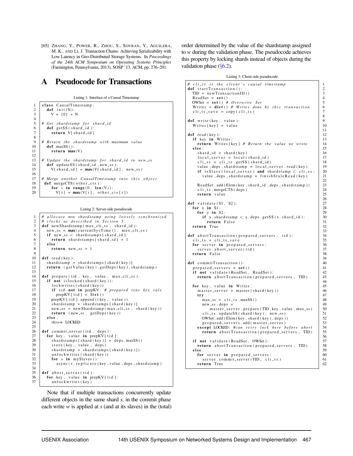<span id="page-15-1"></span>[65] ZHANG, Y., POWER, R., ZHOU, S., SOVRAN, Y., AGUILERA, M. K., AND LI, J. Transaction Chains: Achieving Serializability with Low Latency in Geo-Distributed Storage Systems. In *Proceedings of the 24th ACM Symposium on Operating Systems Principles* (Farmington, Pennsylvania, 2013), SOSP '13, ACM, pp. 276–291.

# <span id="page-15-0"></span>A Pseudocode for Transactions

Listing 1: Interface of a Causal Timestamp

| 1                                     | class CausalTimestamp:                           |
|---------------------------------------|--------------------------------------------------|
|                                       | $def$ init $(N)$ :                               |
| $\frac{2}{3}$                         | $V = [0] * N$                                    |
|                                       |                                                  |
| $\frac{4}{5}$                         | # Get shardstamp for shard-id                    |
| 6                                     | $def$ getSS (shard-id):                          |
|                                       | return V[shard_id]                               |
| $\begin{array}{c} 7 \\ 8 \end{array}$ |                                                  |
| 9                                     | # Return the shardstamp with maximum value       |
| 10                                    | $def$ maxSS():                                   |
| 11                                    | return $max(V)$                                  |
| 12                                    |                                                  |
| 13                                    | # Update the shardstamp for shard-id to new-ss   |
| 14                                    | def updateSS (shard_id, new_ss):                 |
| 15                                    | $V[shard_id] = max(V[shard_id], new_s)$          |
| 16                                    |                                                  |
| 17                                    | # Merge another CausalTimestamp into this object |
| 18                                    | def mergeCTS (other_cts):                        |
| 19                                    | for i in range $(0, len(V))$ :                   |
| 20                                    | $V[i] = max(V[i], other_cts[i])$                 |

9

13

 $\frac{25}{26}$ 

 $34$ <br> $35$ 

Listing 2: Server-side pseudocode

```
1 | # allocate new shardstamp using loosely synchronized
 2 | # clocks as described in Section 5
 \begin{array}{c|c} 3 & \text{def newShardstamp (max-cli-ss , shared-id):} \\ 4 & \text{new ss = max(currentSvsTime() max_cli)} \end{array}4 new s = max(currentSystem(), max cliss)<br>5 if new s < shardstamps [shard id ]:
 \begin{array}{c|c} 5 & \text{if new}\_ss \leq \text{shardstamps} \text{[shard_id] :}\\ 6 & \text{return} \text{shardstamps} \text{[shard_id] + 1} \end{array}return shards tamps [shard_id] + 1\begin{array}{c|c} 7 & \text{else :} \\ \hline 8 & \text{ref} \end{array}return new ss + 110 def read (key):
11 shard stamp = shard stamps [shard (key)]<br>12 return (getValue (key), getDeps (key), s
              return (getValue (key), getDeps (key), shardstamp)
14 def prepare (tid, key, value, max_cli_ss):<br>15 if not islocked (shard (key)):
15 if not islocked (shard (key )):<br>16 \left| \begin{array}{c} \text{if not } i \text{.} \\ \text{if } i \text{.} \end{array} \right|\begin{array}{c|c} 16 & \text{lockwrites (shared (key))} \\ 17 & \text{if tid not in} \text{ prepKV:} \end{array}17 if tid not in prepKV: # prepared txns key vals<br>18 prepKV [tid ] = list ()
                       prepKV [ tid] = list ()19 prepKV [ t i d ]. append ( ( key, value ) )<br>20 shardstamp = shardstamps [ shard ( k
20 \begin{array}{c} \text{shardstamp} = \text{shardstamps} [\text{shard}(\text{key})] \\ \text{new\_ss} = \text{newShardstamp}(\text{max_cli\_ss} , s) \end{array}21 new s = newShard stamp (\begin{array}{c} \text{max} \\ \text{min} \\ \text{return} \\ \text{new} \\ \text{max} \\ \text{otherwise} \end{array} , shard (key))
22 return (new\_ss, getDeps(key))<br>23 else:
\begin{array}{c|c}\n 23 & \text{else :} \\
 24 & \text{three } \\
 \end{array}throw LOCKED
26 def commit_server(tid, deps):<br>27 for key, value in prepKV [ti
27 for key, value in prepKV [tid]:<br>28 shardstamps [shard (key)] = de
28 \begin{array}{c} \text{shardstamps} [\text{shard}(\text{key})] = \text{deps} \cdot \text{maxSS}() \\ \text{store}(\text{key}, \text{value}, \text{deps}) \end{array}\begin{array}{c|c}\n 29 & \text{store (key, value, deps)} \\
 30 & \text{shardstamp = shardstamp}\n \end{array}30 \begin{bmatrix} \text{shardstamp} = \text{shardstamp} [\text{shard}(\text{key})] \\ \text{unlockwrites} (\text{shard}(\text{key})) \end{bmatrix}\begin{array}{c|c} 31 & \text{unlockwrites (shared (key))} \\ 32 & \text{for s in mySlaves } (): \end{array}\begin{array}{c|c} 32 \\ 33 \end{array} for s in mySlaves ():<br>33
                       as \text{vac}(s, \text{relative}(kev, value, des, shardstamp)\det abort server (tid):
\begin{array}{c|c} 36 & \text{for key, value in } \text{prepKV} \text{[tid] :} \\ 37 & \text{undockwrites (kev)} \end{array}unlockwrites (key)
```
Note that if multiple transactions concurrently update different objects in the same shard *s*, in the commit phase each write *w* is applied at *s* (and at its slaves) in the (total) order determined by the value of the shardstamp assigned to *w* during the validation phase. The pseudocode achieves this property by locking shards instead of objects during the validation phase  $(\S6.2)$  $(\S6.2)$ .

|  | Listing 3: Client-side pseudocode |  |
|--|-----------------------------------|--|
|--|-----------------------------------|--|

8

11

 $rac{22}{23}$ 

 $rac{26}{27}$ 

33

39

44

56

```
# cli_ts is the client's causal timestamp | 1
def start Transaction ():<br>
TID = new Transaction ID () \begin{array}{c} 2 \\ 3 \end{array}TID = new TransactionID()ReadSet = \text{set}()<br>
OWSet = \text{set}(() \# Overview Set 5
  OWSet = set() \# Overwrite Set<br>Writes = dist() \# Writes done by this transaction 6
   Writes = dict () # Writes done by this transaction
   cli_ts_save = copy ( cli_ts ) \begin{array}{c} \n\end{array} 7
def write (key, value):<br>Writes [key] = value \begin{bmatrix} 9 \\ 10 \end{bmatrix}Writes [key] = valuedef read (key): \begin{array}{|c|c|c|c|c|} \hline \text{if } k \text{ ev } \text{ in } W \text{rites} \hline \end{array}if key in Writes:
     r e t u r n W rit e s [ key ] # R et u r n t h e v al u e we w r ot e 14
   e l s e : 15
      \begin{array}{rcl} \text{shard_id} &=& \text{shard(key)}\\ \text{local server} &=& \text{local (shard id)}\\ \end{array} 16
      local-server = local(shard_id)\text{cli}_\text{LSS} = \text{cli}_\text{LSS} \cdot \text{getSS} \left( \text{shared}_\text{I} \right) 18<br>value dens shardstamn = local server read(key) 19
      value, deps, shardstamp = local_server.read (key) 19<br>if is Slave (local_server) and shardstamp < cli_ss: 20
      if is Slave (local_server) and shardstamp \langle cli_ss: 20<br>value, deps, shardstamp = finish Stale Read (key) 21
         value, deps, shard stamp = finish StaleRead(key)ReadSet. add (Elem (key, shard-id, deps, shardstamp)) \begin{array}{|l|l|} \hline 23 \\ \hline \end{array}cli_ts . mergeCTS ( deps ) 24<br>
return value 25
      return value
def validate (S1, S2):<br>for x in S1:<br>28
  for x in S1:<br>
for y in S2:<br>
28<br>
29for y in S2: \begin{array}{|l|l|} 29 & \text{if } x \text{ .shardstamp} < y \text{ .deps . getSS (x. shard_id ):} \end{array}if x . shard stamp \langle y . deps . get SS(x, shard_id): 30<br>return False 31
           return False \begin{array}{|c|c|c|c|}\n\hline\n\text{1} & \text{True} \\
\hline\n\text{2} & \text{True} \\
\hline\n\end{array}return True
def abort Transaction (prepared servers, tid):<br>cli_ts = cli_ts_save 35
   cli_ts = cli_ts_save \begin{array}{|l|l|} \hline \textbf{cor} & \textbf{sc}{\textbf{cor}} \\ \hline \end{array} server in prepared_servers: \begin{array}{|l|l|} \hline 35 \\ \hline 36 \end{array}for server in prepared servers:<br>server abort server (tid)<br>37
     s er v e r a b o r t _ s er v e r ( t i d ) 37<br>
s e r v e r a b o r t u r n F a l s e 38
   return False
def commit Transaction ():<br>
\begin{array}{rcl} 40 \\ \text{prepared} & = \text{set} \end{array} ()
  prepared_servers = \text{set}()<br>
if not validate(ReadSet, ReadSet): 41if not validate (ReadSet, ReadSet): |42<br>return abort Transaction (prepared servers, TID) 43
      return abort Transaction (prepared servers, TID)
  for key, value in Writes:<br>master_server = master(shard(key)) 46master_server = master (shard (key)) 46<br>try: 47\mathbf{try}: 47
        \begin{array}{rcl}\n\text{max}.\text{ss} & = & \text{cli}.\text{ts} \cdot \text{maxSS} \text{ ()} \\
\text{new}.\text{ss} \cdot \text{des} & = & 49\n\end{array}new\_ss, deps = \begin{bmatrix} 49 \\ 49 \end{bmatrix}<br>master server, prepare (TID, key, value, max ss) 50
            master_server.prepare (TID, key, value, max_ss) \begin{array}{|l|l|} \hline 50 \\ \hline 51 \\ \hline \end{array}cli_ts . updateSS (shard (key), new \text{ss})
        OWSet . add ( Elem ( key , shard ( key ) , deps ) ) \begin{array}{|l|l|} \hline 52 \end{array}prepared_servers.add (master_server)
      except LOCKED: #can retry lock here before abort 54<br>return abortTransaction(prepared servers TID) 55
        return abort Transaction (prepared_servers, TID)
  if not validate (ReadSet, OWSet):
   return abort Transaction (prepared_servers, TID) \begin{bmatrix} 58 \\ 59 \end{bmatrix}e l s e : 59
     for server in prepared servers: \begin{array}{|l|l|} \hline 60 \\ \hline 61 \\ \hline \end{array}s erver.commit_server (TID, cli_ts)
     r e t u r n T rue 62
```